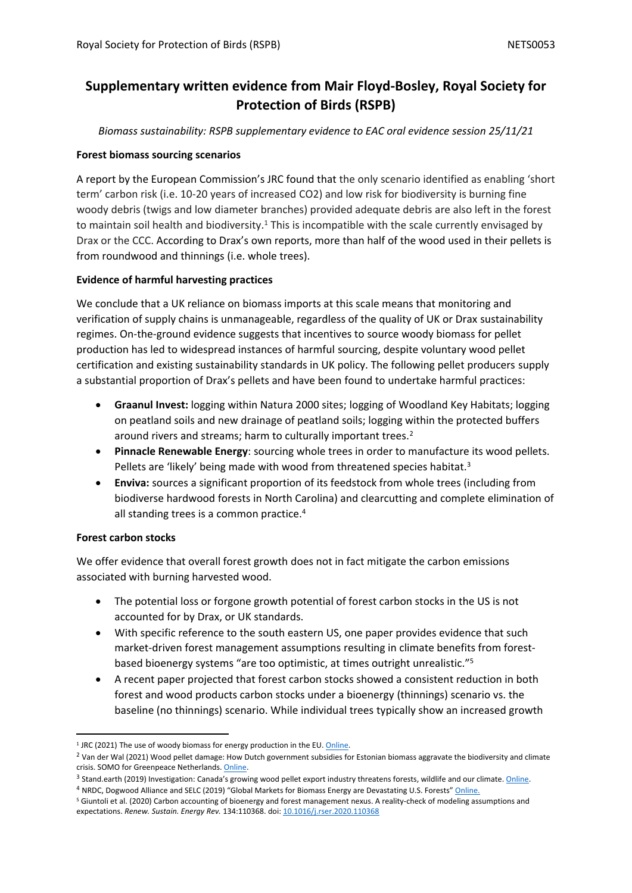## **Supplementary written evidence from Mair Floyd-Bosley, Royal Society for Protection of Birds (RSPB)**

*Biomass sustainability: RSPB supplementary evidence to EAC oral evidence session 25/11/21*

## **Forest biomass sourcing scenarios**

A report by the European Commission's JRC found that the only scenario identified as enabling 'short term' carbon risk (i.e. 10-20 years of increased CO2) and low risk for biodiversity is burning fine woody debris (twigs and low diameter branches) provided adequate debris are also left in the forest to maintain soil health and biodiversity.<sup>1</sup> This is incompatible with the scale currently envisaged by Drax or the CCC. According to Drax's own reports, more than half of the wood used in their pellets is from roundwood and thinnings (i.e. whole trees).

## **Evidence of harmful harvesting practices**

We conclude that a UK reliance on biomass imports at this scale means that monitoring and verification of supply chains is unmanageable, regardless of the quality of UK or Drax sustainability regimes. On-the-ground evidence suggests that incentives to source woody biomass for pellet production has led to widespread instances of harmful sourcing, despite voluntary wood pellet certification and existing sustainability standards in UK policy. The following pellet producers supply a substantial proportion of Drax's pellets and have been found to undertake harmful practices:

- **Graanul Invest:** logging within Natura 2000 sites; logging of Woodland Key Habitats; logging on peatland soils and new drainage of peatland soils; logging within the protected buffers around rivers and streams; harm to culturally important trees.<sup>2</sup>
- **Pinnacle Renewable Energy**: sourcing whole trees in order to manufacture its wood pellets. Pellets are 'likely' being made with wood from threatened species habitat.<sup>3</sup>
- **Enviva:** sources a significant proportion of its feedstock from whole trees (including from biodiverse hardwood forests in North Carolina) and clearcutting and complete elimination of all standing trees is a common practice.<sup>4</sup>

## **Forest carbon stocks**

We offer evidence that overall forest growth does not in fact mitigate the carbon emissions associated with burning harvested wood.

- The potential loss or forgone growth potential of forest carbon stocks in the US is not accounted for by Drax, or UK standards.
- With specific reference to the south eastern US, one paper provides evidence that such market-driven forest management assumptions resulting in climate benefits from forestbased bioenergy systems "are too optimistic, at times outright unrealistic."<sup>5</sup>
- A recent paper projected that forest carbon stocks showed a consistent reduction in both forest and wood products carbon stocks under a bioenergy (thinnings) scenario vs. the baseline (no thinnings) scenario. While individual trees typically show an increased growth

<sup>&</sup>lt;sup>1</sup> JRC (2021) The use of woody biomass for energy production in the EU. [Online](https://op.europa.eu/en/publication-detail/-/publication/7120db75-6118-11eb-8146-01aa75ed71a1/language-en).

<sup>&</sup>lt;sup>2</sup> Van der Wal (2021) Wood pellet damage: How Dutch government subsidies for Estonian biomass aggravate the biodiversity and climate crisis. SOMO for Greenpeace Netherlands. [Online](https://www.greenpeace.org/static/planet4-netherlands-stateless/2021/07/185503f3-wood-pellet-damage.pdf).

<sup>&</sup>lt;sup>3</sup> Stand.earth (2019) Investigation: Canada's growing wood pellet export industry threatens forests, wildlife and our climate. [Online](https://www.stand.earth/sites/stand/files/report-canada-wood-pellet-industry.pdf).

<sup>&</sup>lt;sup>4</sup> NRDC, Dogwood Alliance and SELC (2019) "Global Markets for Biomass Energy are Devastating U.S. Forests" Online. <sup>5</sup> Giuntoli et al. (2020) Carbon accounting of bioenergy and forest management nexus. A reality-check of modeling assumptions and

expectations. *Renew. Sustain. Energy Rev.* 134:110368. doi: [10.1016/j.rser.2020.110368](https://www.frontiersin.org/articles/10.3389/ffgc.2021.642569/full#B34)